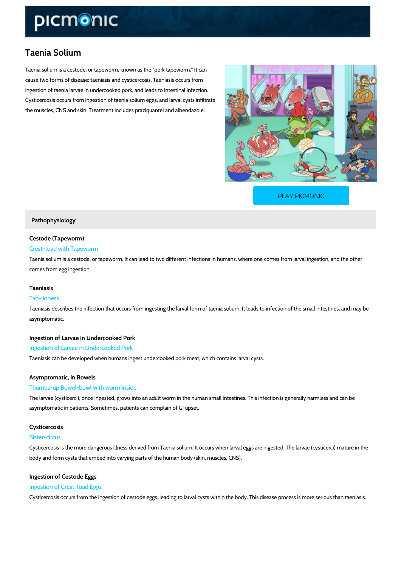# Taenia Solium

Taenia solium is a cestode, or tapeworm, known as the "pork tapeworm." It can cause two forms of disease: taeniasis and cysticercosis. Taeniasis occurs from ingestion of taenia larvae in undercooked pork, and leads to intestinal infection. Cysticercosis occurs from ingestion of taenia solium eggs, and larval cysts infiltrate the muscles, CNS and skin. Treatment includes praziquantel and albendazole.

[PLAY PICMONIC](https://www.picmonic.com/learn/taenia-solium_5699?utm_source=downloadable_content&utm_medium=distributedcontent&utm_campaign=pathways_pdf&utm_content=Taenia Solium&utm_ad_group=leads&utm_market=all)

### Pathophysiology

### Cestode (Tapeworm)

### Crest-toad with Tapeworm

Taenia solium is a cestode, or tapeworm. It can lead to two different infections in humans, wh comes from egg ingestion.

#### Taeniasis

### Tan-lioness

Taeniasis describes the infection that occurs from ingesting the larval form of taenia solium. asymptomatic.

Ingestion of Larvae in Undercooked Pork Ingestion of Larvae in Undercooked Pork Taeniasis can be developed when humans ingest undercooked pork meat, which contains larva

### Asymptomatic, in Bowels

#### Thumbs-up Bowel-bowl with worm inside

The larvae (cysticerci), once ingested, grows into an adult worm in the human small intestines asymptomatic in patients. Sometimes, patients can complain of GI upset.

# Cysticercosis

### Sister-circus

Cysticercosis is the more dangerous illness derived from Taenia solium. It occurs when larval body and form cysts that embed into varying parts of the human body (skin, muscles, CNS).

### Ingestion of Cestode Eggs Ingestion of Crest-toad Eggs

Cysticercosis occurs from the ingestion of cestode eggs, leading to larval cysts within the bod